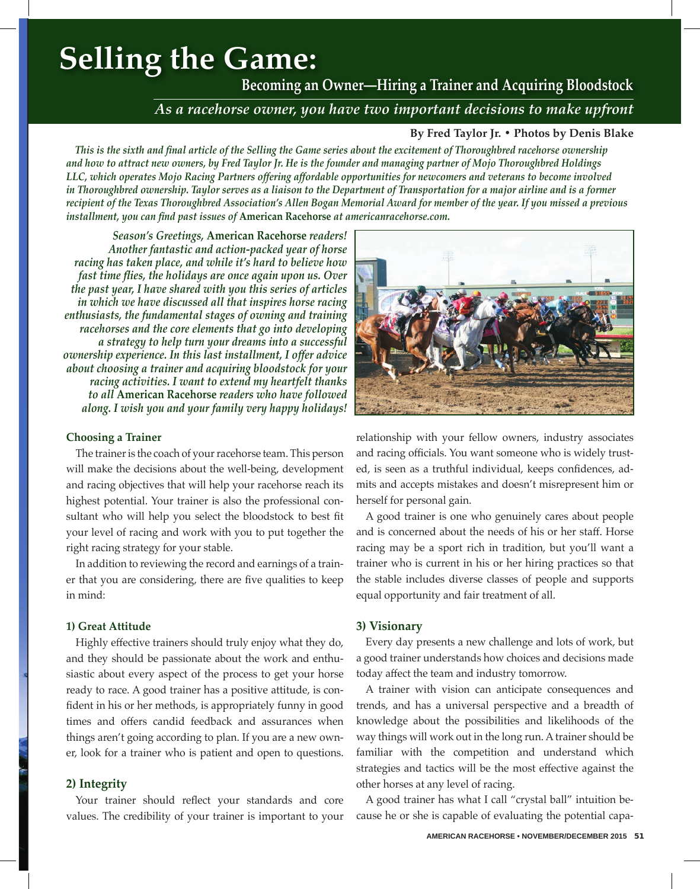# **Selling the Game:**

**Becoming an Owner—Hiring a Trainer and Acquiring Bloodstock** 

## *As a racehorse owner, you have two important decisions to make upfront*

#### **By Fred Taylor Jr. • Photos by Denis Blake**

*This is the sixth and final article of the Selling the Game series about the excitement of Thoroughbred racehorse ownership and how to attract new owners, by Fred Taylor Jr. He is the founder and managing partner of Mojo Thoroughbred Holdings LLC, which operates Mojo Racing Partners offering affordable opportunities for newcomers and veterans to become involved in Thoroughbred ownership. Taylor serves as a liaison to the Department of Transportation for a major airline and is a former recipient of the Texas Thoroughbred Association's Allen Bogan Memorial Award for member of the year. If you missed a previous installment, you can find past issues of* **American Racehorse** *at americanracehorse.com.*

*Season's Greetings,* **American Racehorse** *readers! Another fantastic and action-packed year of horse racing has taken place, and while it's hard to believe how fast time flies, the holidays are once again upon us. Over the past year, I have shared with you this series of articles in which we have discussed all that inspires horse racing enthusiasts, the fundamental stages of owning and training racehorses and the core elements that go into developing a strategy to help turn your dreams into a successful ownership experience. In this last installment, I offer advice about choosing a trainer and acquiring bloodstock for your racing activities. I want to extend my heartfelt thanks to all* **American Racehorse** *readers who have followed along. I wish you and your family very happy holidays!*

#### **Choosing a Trainer**

The trainer is the coach of your racehorse team. This person will make the decisions about the well-being, development and racing objectives that will help your racehorse reach its highest potential. Your trainer is also the professional consultant who will help you select the bloodstock to best fit your level of racing and work with you to put together the right racing strategy for your stable.

In addition to reviewing the record and earnings of a trainer that you are considering, there are five qualities to keep in mind:

#### **1) Great Attitude**

Highly effective trainers should truly enjoy what they do, and they should be passionate about the work and enthusiastic about every aspect of the process to get your horse ready to race. A good trainer has a positive attitude, is confident in his or her methods, is appropriately funny in good times and offers candid feedback and assurances when things aren't going according to plan. If you are a new owner, look for a trainer who is patient and open to questions.

#### **2) Integrity**

Your trainer should reflect your standards and core values. The credibility of your trainer is important to your



relationship with your fellow owners, industry associates and racing officials. You want someone who is widely trusted, is seen as a truthful individual, keeps confidences, admits and accepts mistakes and doesn't misrepresent him or herself for personal gain.

A good trainer is one who genuinely cares about people and is concerned about the needs of his or her staff. Horse racing may be a sport rich in tradition, but you'll want a trainer who is current in his or her hiring practices so that the stable includes diverse classes of people and supports equal opportunity and fair treatment of all.

#### **3) Visionary**

Every day presents a new challenge and lots of work, but a good trainer understands how choices and decisions made today affect the team and industry tomorrow.

A trainer with vision can anticipate consequences and trends, and has a universal perspective and a breadth of knowledge about the possibilities and likelihoods of the way things will work out in the long run. A trainer should be familiar with the competition and understand which strategies and tactics will be the most effective against the other horses at any level of racing.

A good trainer has what I call "crystal ball" intuition because he or she is capable of evaluating the potential capa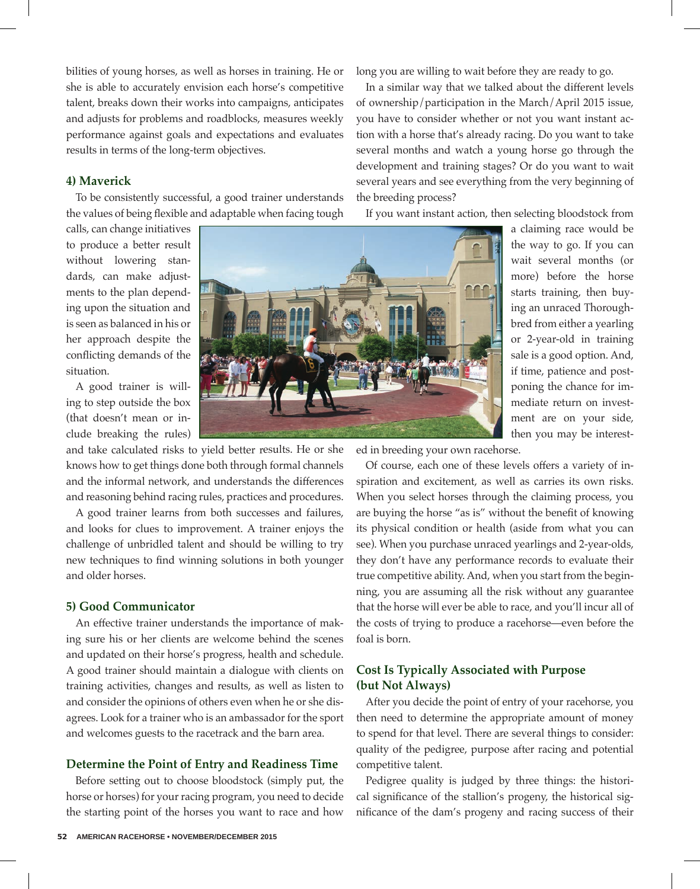bilities of young horses, as well as horses in training. He or she is able to accurately envision each horse's competitive talent, breaks down their works into campaigns, anticipates and adjusts for problems and roadblocks, measures weekly performance against goals and expectations and evaluates results in terms of the long-term objectives.

#### **4) Maverick**

To be consistently successful, a good trainer understands the values of being flexible and adaptable when facing tough

calls, can change initiatives to produce a better result without lowering standards, can make adjustments to the plan depending upon the situation and is seen as balanced in his or her approach despite the conflicting demands of the situation.

A good trainer is willing to step outside the box (that doesn't mean or include breaking the rules)

and take calculated risks to yield better results. He or she knows how to get things done both through formal channels and the informal network, and understands the differences and reasoning behind racing rules, practices and procedures.

A good trainer learns from both successes and failures, and looks for clues to improvement. A trainer enjoys the challenge of unbridled talent and should be willing to try new techniques to find winning solutions in both younger and older horses.

#### **5) Good Communicator**

An effective trainer understands the importance of making sure his or her clients are welcome behind the scenes and updated on their horse's progress, health and schedule. A good trainer should maintain a dialogue with clients on training activities, changes and results, as well as listen to and consider the opinions of others even when he or she disagrees. Look for a trainer who is an ambassador for the sport and welcomes guests to the racetrack and the barn area.

#### **Determine the Point of Entry and Readiness Time**

Before setting out to choose bloodstock (simply put, the horse or horses) for your racing program, you need to decide the starting point of the horses you want to race and how long you are willing to wait before they are ready to go.

In a similar way that we talked about the different levels of ownership/participation in the March/April 2015 issue, you have to consider whether or not you want instant action with a horse that's already racing. Do you want to take several months and watch a young horse go through the development and training stages? Or do you want to wait several years and see everything from the very beginning of the breeding process?

If you want instant action, then selecting bloodstock from

a claiming race would be the way to go. If you can wait several months (or more) before the horse starts training, then buying an unraced Thoroughbred from either a yearling or 2-year-old in training sale is a good option. And, if time, patience and postponing the chance for immediate return on investment are on your side, then you may be interest-

ed in breeding your own racehorse.

Of course, each one of these levels offers a variety of inspiration and excitement, as well as carries its own risks. When you select horses through the claiming process, you are buying the horse "as is" without the benefit of knowing its physical condition or health (aside from what you can see). When you purchase unraced yearlings and 2-year-olds, they don't have any performance records to evaluate their true competitive ability. And, when you start from the beginning, you are assuming all the risk without any guarantee that the horse will ever be able to race, and you'll incur all of the costs of trying to produce a racehorse—even before the foal is born.

### **Cost Is Typically Associated with Purpose (but Not Always)**

After you decide the point of entry of your racehorse, you then need to determine the appropriate amount of money to spend for that level. There are several things to consider: quality of the pedigree, purpose after racing and potential competitive talent.

Pedigree quality is judged by three things: the historical significance of the stallion's progeny, the historical significance of the dam's progeny and racing success of their

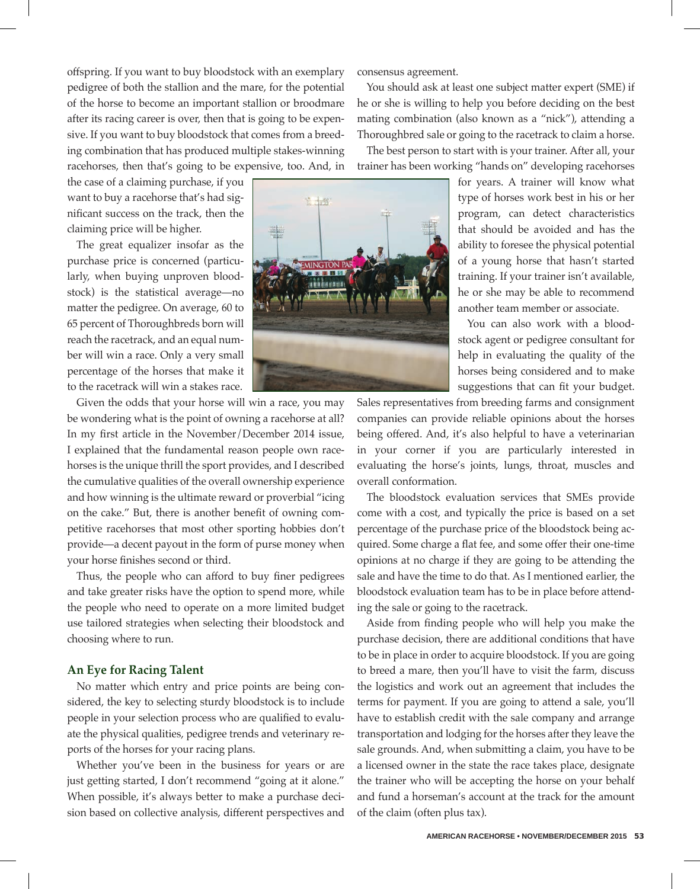offspring. If you want to buy bloodstock with an exemplary pedigree of both the stallion and the mare, for the potential of the horse to become an important stallion or broodmare after its racing career is over, then that is going to be expensive. If you want to buy bloodstock that comes from a breeding combination that has produced multiple stakes-winning racehorses, then that's going to be expensive, too. And, in

the case of a claiming purchase, if you want to buy a racehorse that's had significant success on the track, then the claiming price will be higher.

The great equalizer insofar as the purchase price is concerned (particularly, when buying unproven bloodstock) is the statistical average—no matter the pedigree. On average, 60 to 65 percent of Thoroughbreds born will reach the racetrack, and an equal number will win a race. Only a very small percentage of the horses that make it to the racetrack will win a stakes race.

Given the odds that your horse will win a race, you may be wondering what is the point of owning a racehorse at all? In my first article in the November/December 2014 issue, I explained that the fundamental reason people own racehorses is the unique thrill the sport provides, and I described the cumulative qualities of the overall ownership experience and how winning is the ultimate reward or proverbial "icing on the cake." But, there is another benefit of owning competitive racehorses that most other sporting hobbies don't provide—a decent payout in the form of purse money when your horse finishes second or third.

Thus, the people who can afford to buy finer pedigrees and take greater risks have the option to spend more, while the people who need to operate on a more limited budget use tailored strategies when selecting their bloodstock and choosing where to run.

#### **An Eye for Racing Talent**

No matter which entry and price points are being considered, the key to selecting sturdy bloodstock is to include people in your selection process who are qualified to evaluate the physical qualities, pedigree trends and veterinary reports of the horses for your racing plans.

Whether you've been in the business for years or are just getting started, I don't recommend "going at it alone." When possible, it's always better to make a purchase decision based on collective analysis, different perspectives and

consensus agreement.

You should ask at least one subject matter expert (SME) if he or she is willing to help you before deciding on the best mating combination (also known as a "nick"), attending a Thoroughbred sale or going to the racetrack to claim a horse.

The best person to start with is your trainer. After all, your trainer has been working "hands on" developing racehorses

> for years. A trainer will know what type of horses work best in his or her program, can detect characteristics that should be avoided and has the ability to foresee the physical potential of a young horse that hasn't started training. If your trainer isn't available, he or she may be able to recommend another team member or associate.

> You can also work with a bloodstock agent or pedigree consultant for help in evaluating the quality of the horses being considered and to make suggestions that can fit your budget.

Sales representatives from breeding farms and consignment companies can provide reliable opinions about the horses being offered. And, it's also helpful to have a veterinarian in your corner if you are particularly interested in evaluating the horse's joints, lungs, throat, muscles and overall conformation.

The bloodstock evaluation services that SMEs provide come with a cost, and typically the price is based on a set percentage of the purchase price of the bloodstock being acquired. Some charge a flat fee, and some offer their one-time opinions at no charge if they are going to be attending the sale and have the time to do that. As I mentioned earlier, the bloodstock evaluation team has to be in place before attending the sale or going to the racetrack.

Aside from finding people who will help you make the purchase decision, there are additional conditions that have to be in place in order to acquire bloodstock. If you are going to breed a mare, then you'll have to visit the farm, discuss the logistics and work out an agreement that includes the terms for payment. If you are going to attend a sale, you'll have to establish credit with the sale company and arrange transportation and lodging for the horses after they leave the sale grounds. And, when submitting a claim, you have to be a licensed owner in the state the race takes place, designate the trainer who will be accepting the horse on your behalf and fund a horseman's account at the track for the amount of the claim (often plus tax).